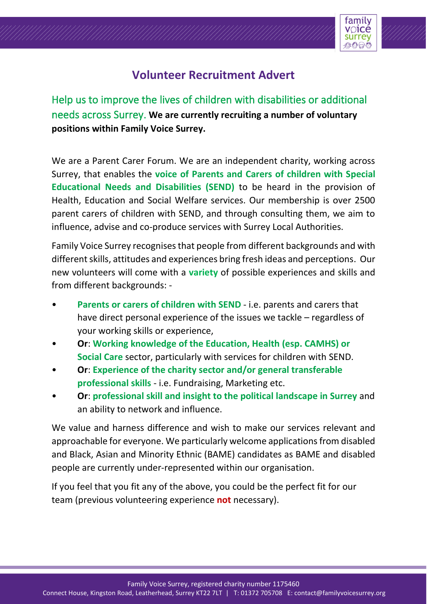

## **Volunteer Recruitment Advert**

Help us to improve the lives of children with disabilities or additional needs across Surrey. **We are currently recruiting a number of voluntary positions within Family Voice Surrey.**

We are a Parent Carer Forum. We are an independent charity, working across Surrey, that enables the **voice of Parents and Carers of children with Special Educational Needs and Disabilities (SEND)** to be heard in the provision of Health, Education and Social Welfare services. Our membership is over 2500 parent carers of children with SEND, and through consulting them, we aim to influence, advise and co-produce services with Surrey Local Authorities.

Family Voice Surrey recognises that people from different backgrounds and with different skills, attitudes and experiences bring fresh ideas and perceptions. Our new volunteers will come with a **variety** of possible experiences and skills and from different backgrounds: -

- **Parents or carers of children with SEND** i.e. parents and carers that have direct personal experience of the issues we tackle – regardless of your working skills or experience,
- **Or**: **Working knowledge of the Education, Health (esp. CAMHS) or Social Care** sector, particularly with services for children with SEND.
- **Or**: **Experience of the charity sector and/or general transferable professional skills** - i.e. Fundraising, Marketing etc.
- **Or**: **professional skill and insight to the political landscape in Surrey** and an ability to network and influence.

We value and harness difference and wish to make our services relevant and approachable for everyone. We particularly welcome applications from disabled and Black, Asian and Minority Ethnic (BAME) candidates as BAME and disabled people are currently under-represented within our organisation.

If you feel that you fit any of the above, you could be the perfect fit for our team (previous volunteering experience **not** necessary).